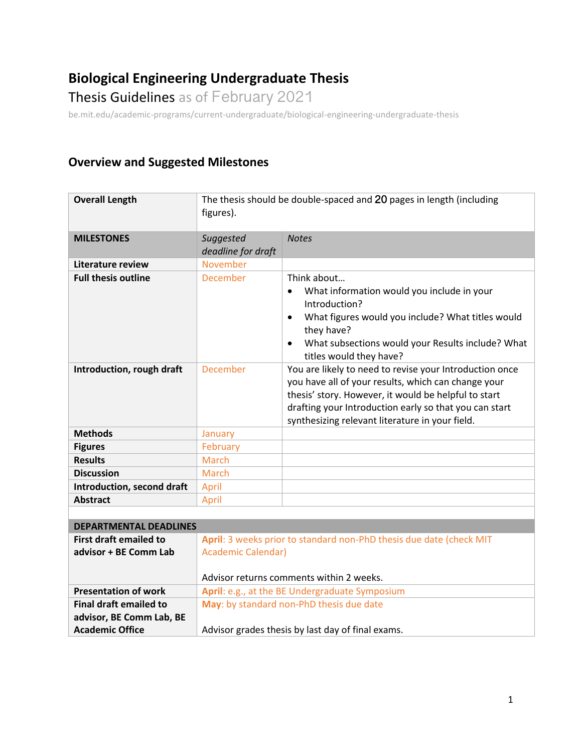# **Biological Engineering Undergraduate Thesis**

Thesis Guidelines as of February 2021

be.mit.edu/academic-programs/current-undergraduate/biological-engineering-undergraduate-thesis

# **Overview and Suggested Milestones**

**advisor, BE Comm Lab, BE** 

**Academic Office**

| <b>Overall Length</b>         | The thesis should be double-spaced and 20 pages in length (including<br>figures). |                                                                                                                                                                                                                                                                                     |
|-------------------------------|-----------------------------------------------------------------------------------|-------------------------------------------------------------------------------------------------------------------------------------------------------------------------------------------------------------------------------------------------------------------------------------|
| <b>MILESTONES</b>             | Suggested<br>deadline for draft                                                   | <b>Notes</b>                                                                                                                                                                                                                                                                        |
| Literature review             | November                                                                          |                                                                                                                                                                                                                                                                                     |
| <b>Full thesis outline</b>    | December                                                                          | Think about<br>What information would you include in your<br>$\bullet$<br>Introduction?<br>What figures would you include? What titles would<br>$\bullet$<br>they have?<br>What subsections would your Results include? What<br>titles would they have?                             |
| Introduction, rough draft     | December                                                                          | You are likely to need to revise your Introduction once<br>you have all of your results, which can change your<br>thesis' story. However, it would be helpful to start<br>drafting your Introduction early so that you can start<br>synthesizing relevant literature in your field. |
| <b>Methods</b>                | January                                                                           |                                                                                                                                                                                                                                                                                     |
| <b>Figures</b>                | February                                                                          |                                                                                                                                                                                                                                                                                     |
| <b>Results</b>                | <b>March</b>                                                                      |                                                                                                                                                                                                                                                                                     |
| <b>Discussion</b>             | March                                                                             |                                                                                                                                                                                                                                                                                     |
| Introduction, second draft    | April                                                                             |                                                                                                                                                                                                                                                                                     |
| <b>Abstract</b>               | April                                                                             |                                                                                                                                                                                                                                                                                     |
|                               |                                                                                   |                                                                                                                                                                                                                                                                                     |
| <b>DEPARTMENTAL DEADLINES</b> |                                                                                   |                                                                                                                                                                                                                                                                                     |
| <b>First draft emailed to</b> | April: 3 weeks prior to standard non-PhD thesis due date (check MIT               |                                                                                                                                                                                                                                                                                     |
| advisor + BE Comm Lab         | <b>Academic Calendar)</b><br>Advisor returns comments within 2 weeks.             |                                                                                                                                                                                                                                                                                     |
| <b>Presentation of work</b>   | April: e.g., at the BE Undergraduate Symposium                                    |                                                                                                                                                                                                                                                                                     |
| <b>Final draft emailed to</b> | May: by standard non-PhD thesis due date                                          |                                                                                                                                                                                                                                                                                     |

Advisor grades thesis by last day of final exams.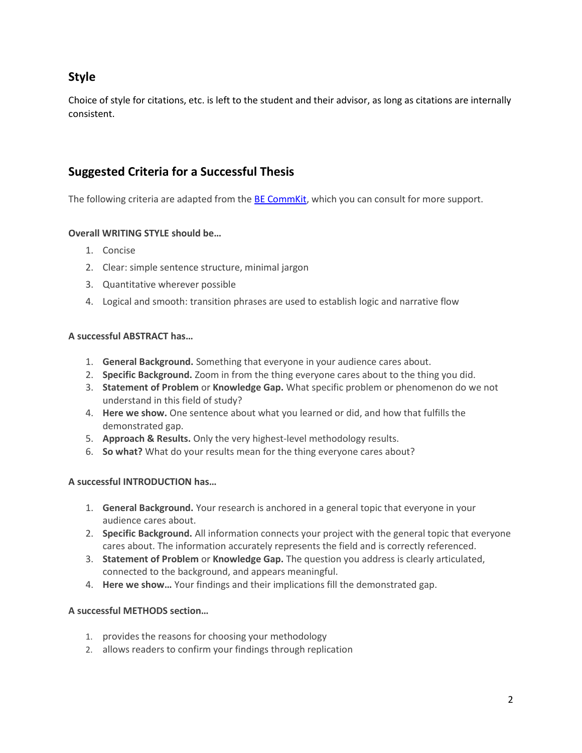# **Style**

Choice of style for citations, etc. is left to the student and their advisor, as long as citations are internally consistent.

## **Suggested Criteria for a Successful Thesis**

The following criteria are adapted from the **BE CommKit**, which you can consult for more support.

### **Overall WRITING STYLE should be…**

- 1. Concise
- 2. Clear: simple sentence structure, minimal jargon
- 3. Quantitative wherever possible
- 4. Logical and smooth: transition phrases are used to establish logic and narrative flow

#### **A successful ABSTRACT has…**

- 1. **General Background.** Something that everyone in your audience cares about.
- 2. **Specific Background.** Zoom in from the thing everyone cares about to the thing you did.
- 3. **Statement of Problem** or **Knowledge Gap.** What specific problem or phenomenon do we not understand in this field of study?
- 4. **Here we show.** One sentence about what you learned or did, and how that fulfills the demonstrated gap.
- 5. **Approach & Results.** Only the very highest-level methodology results.
- 6. **So what?** What do your results mean for the thing everyone cares about?

### **A successful INTRODUCTION has…**

- 1. **General Background.** Your research is anchored in a general topic that everyone in your audience cares about.
- 2. **Specific Background.** All information connects your project with the general topic that everyone cares about. The information accurately represents the field and is correctly referenced.
- 3. **Statement of Problem** or **Knowledge Gap.** The question you address is clearly articulated, connected to the background, and appears meaningful.
- 4. **Here we show…** Your findings and their implications fill the demonstrated gap.

### **A successful METHODS section…**

- 1. provides the reasons for choosing your methodology
- 2. allows readers to confirm your findings through replication